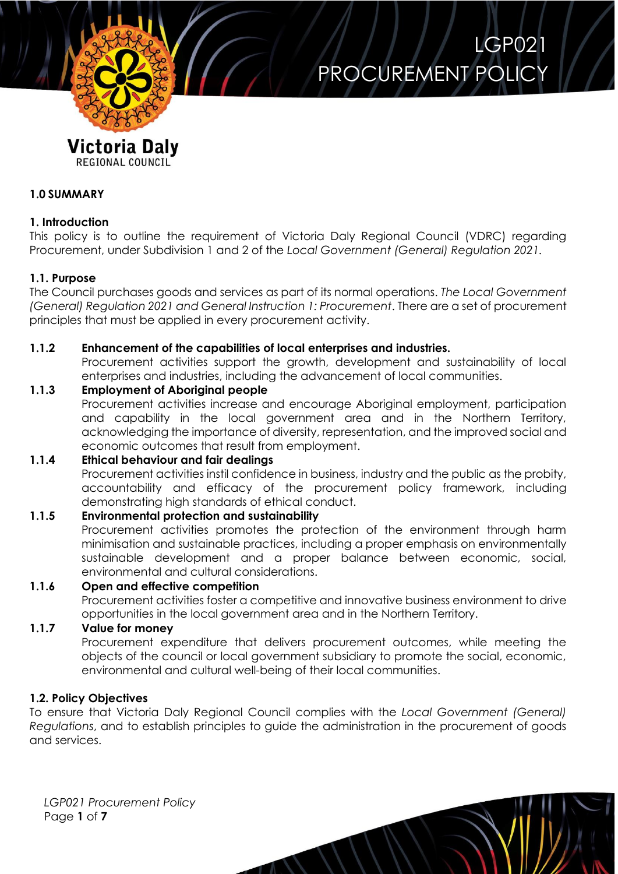

### LGP021 PROCUREMENT POLIC'

### Victoria Dalv

REGIONAL COUNCIL

#### **1.0 SUMMARY**

#### **1. Introduction**

This policy is to outline the requirement of Victoria Daly Regional Council (VDRC) regarding Procurement, under Subdivision 1 and 2 of the *Local Government (General) Regulation 2021.*

#### **1.1. Purpose**

The Council purchases goods and services as part of its normal operations. *The Local Government (General) Regulation 2021 and General Instruction 1: Procurement*. There are a set of procurement principles that must be applied in every procurement activity.

#### **1.1.2 Enhancement of the capabilities of local enterprises and industries.**

Procurement activities support the growth, development and sustainability of local enterprises and industries, including the advancement of local communities.

#### **1.1.3 Employment of Aboriginal people**

Procurement activities increase and encourage Aboriginal employment, participation and capability in the local government area and in the Northern Territory, acknowledging the importance of diversity, representation, and the improved social and economic outcomes that result from employment.

#### **1.1.4 Ethical behaviour and fair dealings**

Procurement activities instil confidence in business, industry and the public as the probity, accountability and efficacy of the procurement policy framework, including demonstrating high standards of ethical conduct.

#### **1.1.5 Environmental protection and sustainability**

Procurement activities promotes the protection of the environment through harm minimisation and sustainable practices, including a proper emphasis on environmentally sustainable development and a proper balance between economic, social, environmental and cultural considerations.

#### **1.1.6 Open and effective competition**

Procurement activities foster a competitive and innovative business environment to drive opportunities in the local government area and in the Northern Territory.

#### **1.1.7 Value for money**

Procurement expenditure that delivers procurement outcomes, while meeting the objects of the council or local government subsidiary to promote the social, economic, environmental and cultural well-being of their local communities.

#### **1.2. Policy Objectives**

To ensure that Victoria Daly Regional Council complies with the *Local Government (General) Regulations*, and to establish principles to guide the administration in the procurement of goods and services.

*LGP021 Procurement Policy* Page **1** of **7**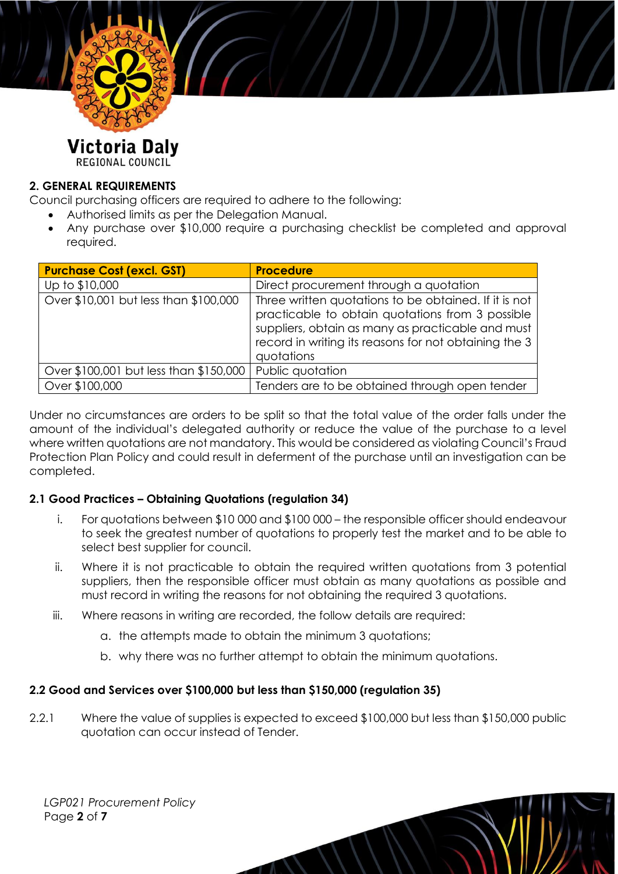

### Victoria Daly

REGIONAL COUNCIL

#### **2. GENERAL REQUIREMENTS**

Council purchasing officers are required to adhere to the following:

- Authorised limits as per the Delegation Manual.
- Any purchase over \$10,000 require a purchasing checklist be completed and approval required.

| <b>Purchase Cost (excl. GST)</b>       | <b>Procedure</b>                                                                                                                                                                                                                      |  |
|----------------------------------------|---------------------------------------------------------------------------------------------------------------------------------------------------------------------------------------------------------------------------------------|--|
| Up to \$10,000                         | Direct procurement through a quotation                                                                                                                                                                                                |  |
| Over \$10,001 but less than \$100,000  | Three written quotations to be obtained. If it is not<br>practicable to obtain quotations from 3 possible<br>suppliers, obtain as many as practicable and must<br>record in writing its reasons for not obtaining the 3<br>quotations |  |
| Over \$100,001 but less than \$150,000 | Public quotation                                                                                                                                                                                                                      |  |
| Over \$100,000                         | Tenders are to be obtained through open tender                                                                                                                                                                                        |  |

Under no circumstances are orders to be split so that the total value of the order falls under the amount of the individual's delegated authority or reduce the value of the purchase to a level where written quotations are not mandatory. This would be considered as violating Council's Fraud Protection Plan Policy and could result in deferment of the purchase until an investigation can be completed.

#### **2.1 Good Practices – Obtaining Quotations (regulation 34)**

- i. For quotations between \$10 000 and \$100 000 the responsible officer should endeavour to seek the greatest number of quotations to properly test the market and to be able to select best supplier for council.
- ii. Where it is not practicable to obtain the required written quotations from 3 potential suppliers, then the responsible officer must obtain as many quotations as possible and must record in writing the reasons for not obtaining the required 3 quotations.
- iii. Where reasons in writing are recorded, the follow details are required:
	- a. the attempts made to obtain the minimum 3 quotations;
	- b. why there was no further attempt to obtain the minimum quotations.

#### **2.2 Good and Services over \$100,000 but less than \$150,000 (regulation 35)**

2.2.1 Where the value of supplies is expected to exceed \$100,000 but less than \$150,000 public quotation can occur instead of Tender.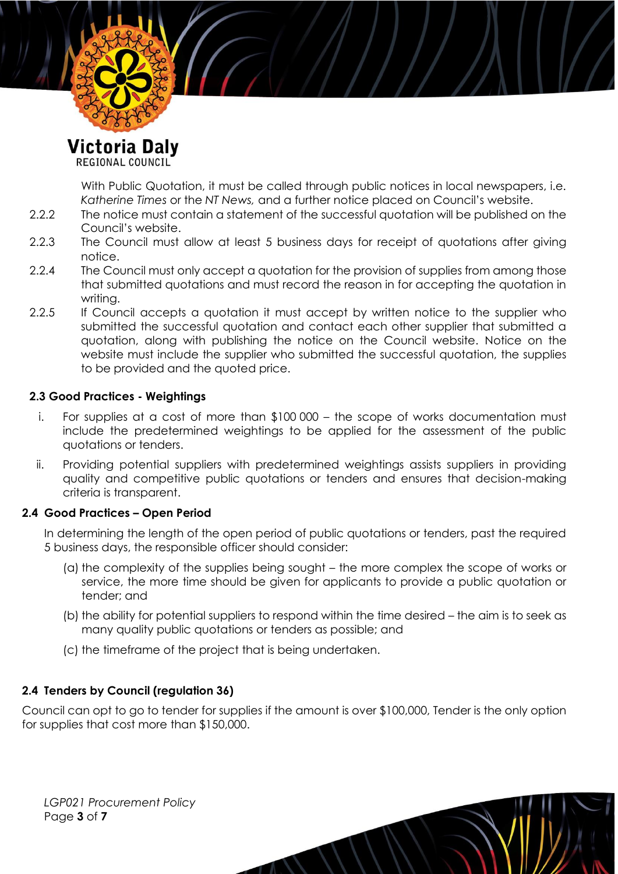

Victoria Daly

REGIONAL COUNCIL

With Public Quotation, it must be called through public notices in local newspapers, i.e. *Katherine Times* or the *NT News,* and a further notice placed on Council's website.

- 2.2.2 The notice must contain a statement of the successful quotation will be published on the Council's website.
- 2.2.3 The Council must allow at least 5 business days for receipt of quotations after giving notice.
- 2.2.4 The Council must only accept a quotation for the provision of supplies from among those that submitted quotations and must record the reason in for accepting the quotation in writing.
- 2.2.5 If Council accepts a quotation it must accept by written notice to the supplier who submitted the successful quotation and contact each other supplier that submitted a quotation, along with publishing the notice on the Council website. Notice on the website must include the supplier who submitted the successful quotation, the supplies to be provided and the quoted price.

#### **2.3 Good Practices - Weightings**

- i. For supplies at a cost of more than \$100 000 the scope of works documentation must include the predetermined weightings to be applied for the assessment of the public quotations or tenders.
- ii. Providing potential suppliers with predetermined weightings assists suppliers in providing quality and competitive public quotations or tenders and ensures that decision-making criteria is transparent.

#### **2.4 Good Practices – Open Period**

In determining the length of the open period of public quotations or tenders, past the required 5 business days, the responsible officer should consider:

- (a) the complexity of the supplies being sought the more complex the scope of works or service, the more time should be given for applicants to provide a public quotation or tender; and
- (b) the ability for potential suppliers to respond within the time desired the aim is to seek as many quality public quotations or tenders as possible; and
- (c) the timeframe of the project that is being undertaken.

#### **2.4 Tenders by Council (regulation 36)**

Council can opt to go to tender for supplies if the amount is over \$100,000, Tender is the only option for supplies that cost more than \$150,000.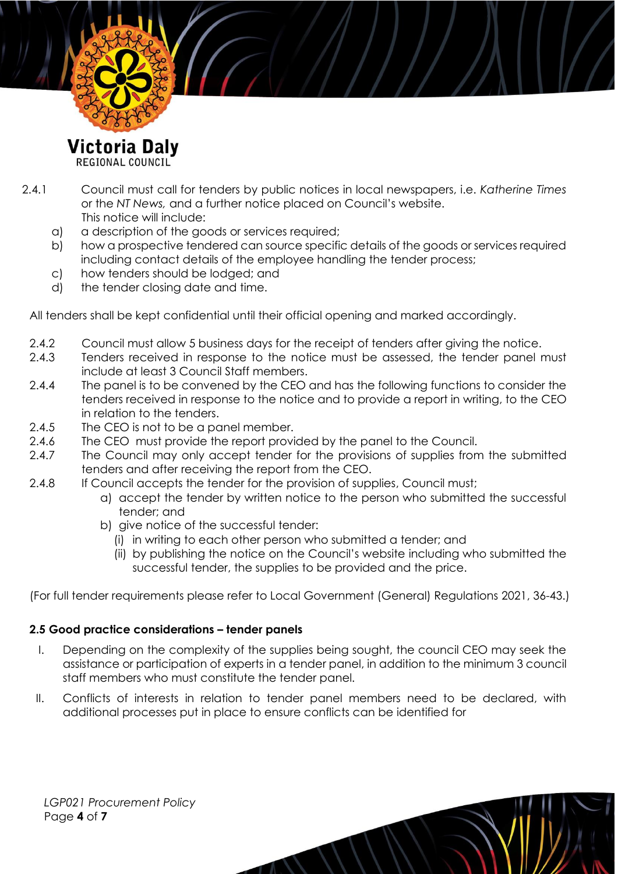

Victoria Daly

REGIONAL COUNCIL

- 2.4.1 Council must call for tenders by public notices in local newspapers, i.e. *Katherine Times*  or the *NT News,* and a further notice placed on Council's website. This notice will include:
	- a) a description of the goods or services required;
	- b) how a prospective tendered can source specific details of the goods or services required including contact details of the employee handling the tender process;
	- c) how tenders should be lodged; and
	- d) the tender closing date and time.

All tenders shall be kept confidential until their official opening and marked accordingly.

- 2.4.2 Council must allow 5 business days for the receipt of tenders after giving the notice.
- 2.4.3 Tenders received in response to the notice must be assessed, the tender panel must include at least 3 Council Staff members.
- 2.4.4 The panel is to be convened by the CEO and has the following functions to consider the tenders received in response to the notice and to provide a report in writing, to the CEO in relation to the tenders.
- 2.4.5 The CEO is not to be a panel member.
- 2.4.6 The CEO must provide the report provided by the panel to the Council.
- 2.4.7 The Council may only accept tender for the provisions of supplies from the submitted tenders and after receiving the report from the CEO.
- 2.4.8 If Council accepts the tender for the provision of supplies, Council must;
	- a) accept the tender by written notice to the person who submitted the successful tender; and
	- b) give notice of the successful tender:
		- (i) in writing to each other person who submitted a tender; and
		- (ii) by publishing the notice on the Council's website including who submitted the successful tender, the supplies to be provided and the price.

(For full tender requirements please refer to Local Government (General) Regulations 2021, 36-43.)

#### **2.5 Good practice considerations – tender panels**

- I. Depending on the complexity of the supplies being sought, the council CEO may seek the assistance or participation of experts in a tender panel, in addition to the minimum 3 council staff members who must constitute the tender panel.
- II. Conflicts of interests in relation to tender panel members need to be declared, with additional processes put in place to ensure conflicts can be identified for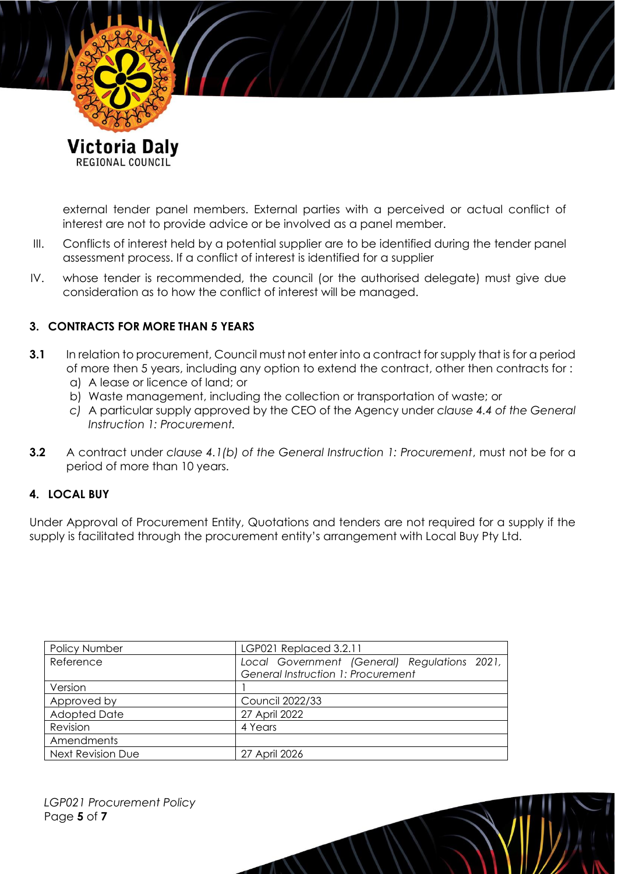

REGIONAL COUNCIL

external tender panel members. External parties with a perceived or actual conflict of interest are not to provide advice or be involved as a panel member.

- III. Conflicts of interest held by a potential supplier are to be identified during the tender panel assessment process. If a conflict of interest is identified for a supplier
- IV. whose tender is recommended, the council (or the authorised delegate) must give due consideration as to how the conflict of interest will be managed.

#### **3. CONTRACTS FOR MORE THAN 5 YEARS**

- **3.1** In relation to procurement, Council must not enter into a contract for supply that is for a period of more then 5 years, including any option to extend the contract, other then contracts for :
	- a) A lease or licence of land; or
	- b) Waste management, including the collection or transportation of waste; or
	- *c)* A particular supply approved by the CEO of the Agency under *clause 4.4 of the General Instruction 1: Procurement.*
- **3.2** A contract under *clause 4.1(b) of the General Instruction 1: Procurement*, must not be for a period of more than 10 years.

#### **4. LOCAL BUY**

Under Approval of Procurement Entity, Quotations and tenders are not required for a supply if the supply is facilitated through the procurement entity's arrangement with Local Buy Pty Ltd.

| <b>Policy Number</b>     | LGP021 Replaced 3.2.11                       |  |
|--------------------------|----------------------------------------------|--|
| Reference                | Local Government (General) Regulations 2021, |  |
|                          | General Instruction 1: Procurement           |  |
| Version                  |                                              |  |
| Approved by              | <b>Council 2022/33</b>                       |  |
| <b>Adopted Date</b>      | 27 April 2022                                |  |
| Revision                 | 4 Years                                      |  |
| Amendments               |                                              |  |
| <b>Next Revision Due</b> | 27 April 2026                                |  |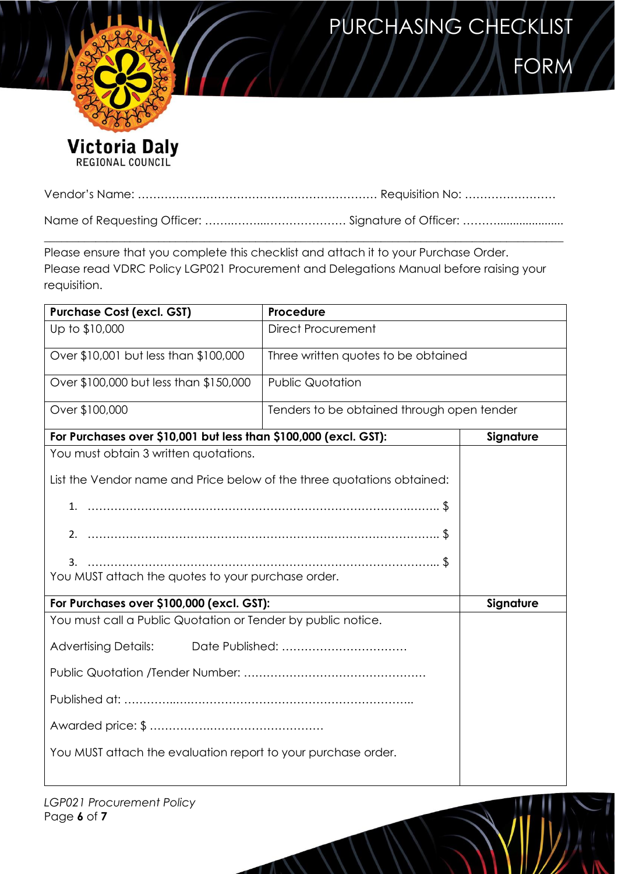# PURCHASING CHECKLIST



**FORM** 

Victoria Daly

|--|--|

Name of Requesting Officer: ……..……...………………… Signature of Officer: ……….....................  $\_$  ,  $\_$  ,  $\_$  ,  $\_$  ,  $\_$  ,  $\_$  ,  $\_$  ,  $\_$  ,  $\_$  ,  $\_$  ,  $\_$  ,  $\_$  ,  $\_$  ,  $\_$  ,  $\_$  ,  $\_$  ,  $\_$  ,  $\_$  ,  $\_$  ,  $\_$  ,  $\_$  ,  $\_$  ,  $\_$  ,  $\_$  ,  $\_$  ,  $\_$  ,  $\_$  ,  $\_$  ,  $\_$  ,  $\_$  ,  $\_$  ,  $\_$  ,  $\_$  ,  $\_$  ,  $\_$  ,  $\_$  ,  $\_$  ,

Please ensure that you complete this checklist and attach it to your Purchase Order. Please read VDRC Policy LGP021 Procurement and Delegations Manual before raising your requisition.

| <b>Purchase Cost (excl. GST)</b>                                                                                | <b>Procedure</b>                           |           |  |  |
|-----------------------------------------------------------------------------------------------------------------|--------------------------------------------|-----------|--|--|
| Up to \$10,000                                                                                                  | <b>Direct Procurement</b>                  |           |  |  |
| Over \$10,001 but less than \$100,000                                                                           | Three written quotes to be obtained        |           |  |  |
| Over \$100,000 but less than \$150,000                                                                          | <b>Public Quotation</b>                    |           |  |  |
| Over \$100,000                                                                                                  | Tenders to be obtained through open tender |           |  |  |
| For Purchases over \$10,001 but less than \$100,000 (excl. GST):                                                |                                            | Signature |  |  |
| You must obtain 3 written quotations.<br>List the Vendor name and Price below of the three quotations obtained: |                                            |           |  |  |
|                                                                                                                 |                                            |           |  |  |
|                                                                                                                 |                                            |           |  |  |
| 3.<br>You MUST attach the quotes to your purchase order.                                                        |                                            |           |  |  |
| For Purchases over \$100,000 (excl. GST):                                                                       |                                            | Signature |  |  |
| You must call a Public Quotation or Tender by public notice.                                                    |                                            |           |  |  |
| <b>Advertising Details:</b>                                                                                     |                                            |           |  |  |
|                                                                                                                 |                                            |           |  |  |
|                                                                                                                 |                                            |           |  |  |
|                                                                                                                 |                                            |           |  |  |
| You MUST attach the evaluation report to your purchase order.                                                   |                                            |           |  |  |

*LGP021 Procurement Policy* Page **6** of **7**